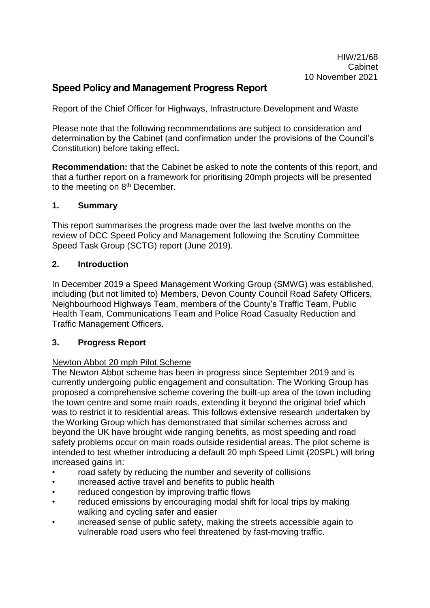## **Speed Policy and Management Progress Report**

Report of the Chief Officer for Highways, Infrastructure Development and Waste

Please note that the following recommendations are subject to consideration and determination by the Cabinet (and confirmation under the provisions of the Council's Constitution) before taking effect**.**

**Recommendation:** that the Cabinet be asked to note the contents of this report, and that a further report on a framework for prioritising 20mph projects will be presented to the meeting on 8<sup>th</sup> December.

#### **1. Summary**

This report summarises the progress made over the last twelve months on the review of DCC Speed Policy and Management following the Scrutiny Committee Speed Task Group (SCTG) report (June 2019).

### **2. Introduction**

In December 2019 a Speed Management Working Group (SMWG) was established, including (but not limited to) Members, Devon County Council Road Safety Officers, Neighbourhood Highways Team, members of the County's Traffic Team, Public Health Team, Communications Team and Police Road Casualty Reduction and Traffic Management Officers.

#### **3. Progress Report**

#### Newton Abbot 20 mph Pilot Scheme

The Newton Abbot scheme has been in progress since September 2019 and is currently undergoing public engagement and consultation. The Working Group has proposed a comprehensive scheme covering the built-up area of the town including the town centre and some main roads, extending it beyond the original brief which was to restrict it to residential areas. This follows extensive research undertaken by the Working Group which has demonstrated that similar schemes across and beyond the UK have brought wide ranging benefits, as most speeding and road safety problems occur on main roads outside residential areas. The pilot scheme is intended to test whether introducing a default 20 mph Speed Limit (20SPL) will bring increased gains in:

- road safety by reducing the number and severity of collisions
- increased active travel and benefits to public health
- reduced congestion by improving traffic flows
- reduced emissions by encouraging modal shift for local trips by making walking and cycling safer and easier
- increased sense of public safety, making the streets accessible again to vulnerable road users who feel threatened by fast-moving traffic.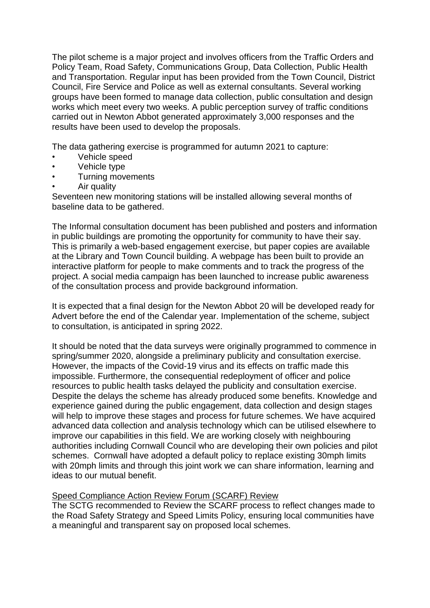The pilot scheme is a major project and involves officers from the Traffic Orders and Policy Team, Road Safety, Communications Group, Data Collection, Public Health and Transportation. Regular input has been provided from the Town Council, District Council, Fire Service and Police as well as external consultants. Several working groups have been formed to manage data collection, public consultation and design works which meet every two weeks. A public perception survey of traffic conditions carried out in Newton Abbot generated approximately 3,000 responses and the results have been used to develop the proposals.

The data gathering exercise is programmed for autumn 2021 to capture:

- Vehicle speed
- Vehicle type
- Turning movements
- Air quality

Seventeen new monitoring stations will be installed allowing several months of baseline data to be gathered.

The Informal consultation document has been published and posters and information in public buildings are promoting the opportunity for community to have their say. This is primarily a web-based engagement exercise, but paper copies are available at the Library and Town Council building. A webpage has been built to provide an interactive platform for people to make comments and to track the progress of the project. A social media campaign has been launched to increase public awareness of the consultation process and provide background information.

It is expected that a final design for the Newton Abbot 20 will be developed ready for Advert before the end of the Calendar year. Implementation of the scheme, subject to consultation, is anticipated in spring 2022.

It should be noted that the data surveys were originally programmed to commence in spring/summer 2020, alongside a preliminary publicity and consultation exercise. However, the impacts of the Covid-19 virus and its effects on traffic made this impossible. Furthermore, the consequential redeployment of officer and police resources to public health tasks delayed the publicity and consultation exercise. Despite the delays the scheme has already produced some benefits. Knowledge and experience gained during the public engagement, data collection and design stages will help to improve these stages and process for future schemes. We have acquired advanced data collection and analysis technology which can be utilised elsewhere to improve our capabilities in this field. We are working closely with neighbouring authorities including Cornwall Council who are developing their own policies and pilot schemes. Cornwall have adopted a default policy to replace existing 30mph limits with 20mph limits and through this joint work we can share information, learning and ideas to our mutual benefit.

## Speed Compliance Action Review Forum (SCARF) Review

The SCTG recommended to Review the SCARF process to reflect changes made to the Road Safety Strategy and Speed Limits Policy, ensuring local communities have a meaningful and transparent say on proposed local schemes.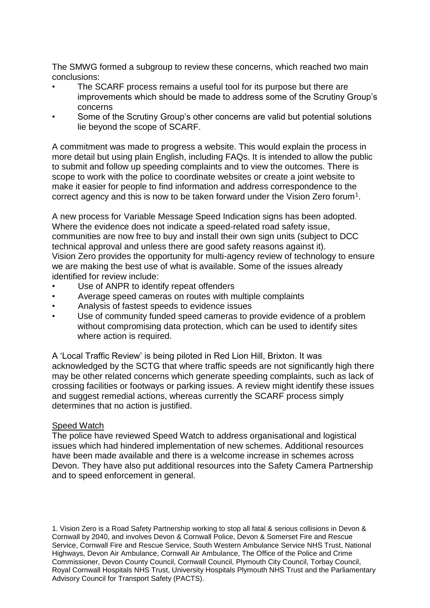The SMWG formed a subgroup to review these concerns, which reached two main conclusions:

- The SCARF process remains a useful tool for its purpose but there are improvements which should be made to address some of the Scrutiny Group's concerns
- Some of the Scrutiny Group's other concerns are valid but potential solutions lie beyond the scope of SCARF.

A commitment was made to progress a website. This would explain the process in more detail but using plain English, including FAQs. It is intended to allow the public to submit and follow up speeding complaints and to view the outcomes. There is scope to work with the police to coordinate websites or create a joint website to make it easier for people to find information and address correspondence to the correct agency and this is now to be taken forward under the Vision Zero forum<sup>1</sup>.

A new process for Variable Message Speed Indication signs has been adopted. Where the evidence does not indicate a speed-related road safety issue, communities are now free to buy and install their own sign units (subject to DCC technical approval and unless there are good safety reasons against it). Vision Zero provides the opportunity for multi-agency review of technology to ensure we are making the best use of what is available. Some of the issues already identified for review include:

- Use of ANPR to identify repeat offenders
- Average speed cameras on routes with multiple complaints
- Analysis of fastest speeds to evidence issues
- Use of community funded speed cameras to provide evidence of a problem without compromising data protection, which can be used to identify sites where action is required.

A 'Local Traffic Review' is being piloted in Red Lion Hill, Brixton. It was acknowledged by the SCTG that where traffic speeds are not significantly high there may be other related concerns which generate speeding complaints, such as lack of crossing facilities or footways or parking issues. A review might identify these issues and suggest remedial actions, whereas currently the SCARF process simply determines that no action is justified.

# **Speed Watch**

The police have reviewed Speed Watch to address organisational and logistical issues which had hindered implementation of new schemes. Additional resources have been made available and there is a welcome increase in schemes across Devon. They have also put additional resources into the Safety Camera Partnership and to speed enforcement in general.

1. Vision Zero is a Road Safety Partnership working to stop all fatal & serious collisions in Devon & Cornwall by 2040, and involves Devon & Cornwall Police, Devon & Somerset Fire and Rescue Service, Cornwall Fire and Rescue Service, South Western Ambulance Service NHS Trust, National Highways, Devon Air Ambulance, Cornwall Air Ambulance, The Office of the Police and Crime Commissioner, Devon County Council, Cornwall Council, Plymouth City Council, Torbay Council, Royal Cornwall Hospitals NHS Trust, University Hospitals Plymouth NHS Trust and the Parliamentary Advisory Council for Transport Safety (PACTS).